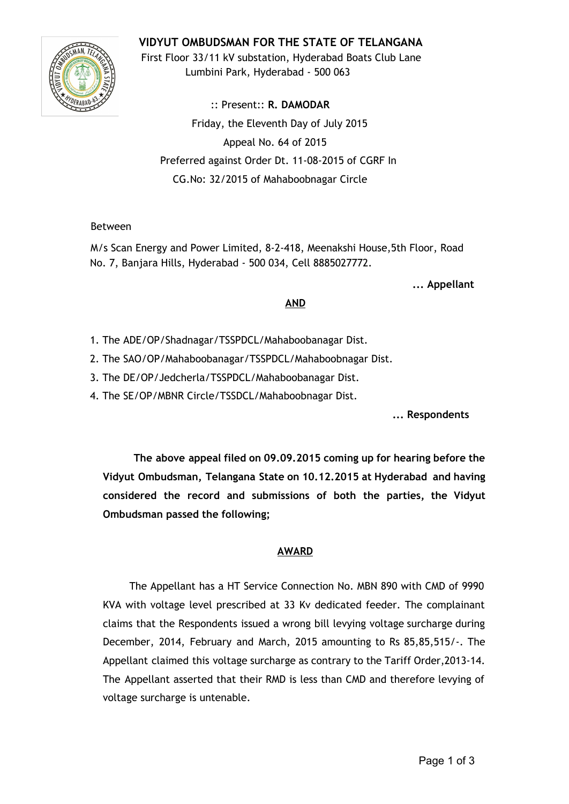# **VIDYUT OMBUDSMAN FOR THE STATE OF TELANGANA**



First Floor 33/11 kV substation, Hyderabad Boats Club Lane Lumbini Park, Hyderabad - 500 063

:: Present:: **R. DAMODAR** Friday, the Eleventh Day of July 2015 Appeal No. 64 of 2015 Preferred against Order Dt. 11-08-2015 of CGRF In CG.No: 32/2015 of Mahaboobnagar Circle

### Between

M/s Scan Energy and Power Limited, 8-2-418, Meenakshi House,5th Floor, Road No. 7, Banjara Hills, Hyderabad - 500 034, Cell 8885027772.

**... Appellant**

#### **AND**

- 1. The ADE/OP/Shadnagar/TSSPDCL/Mahaboobanagar Dist.
- 2. The SAO/OP/Mahaboobanagar/TSSPDCL/Mahaboobnagar Dist.
- 3. The DE/OP/Jedcherla/TSSPDCL/Mahaboobanagar Dist.
- 4. The SE/OP/MBNR Circle/TSSDCL/Mahaboobnagar Dist.

**... Respondents**

**The above appeal filed on 09.09.2015 coming up for hearing before the Vidyut Ombudsman, Telangana State on 10.12.2015 at Hyderabad and having considered the record and submissions of both the parties, the Vidyut Ombudsman passed the following;**

#### **AWARD**

The Appellant has a HT Service Connection No. MBN 890 with CMD of 9990 KVA with voltage level prescribed at 33 Kv dedicated feeder. The complainant claims that the Respondents issued a wrong bill levying voltage surcharge during December, 2014, February and March, 2015 amounting to Rs 85,85,515/-. The Appellant claimed this voltage surcharge as contrary to the Tariff Order,2013-14. The Appellant asserted that their RMD is less than CMD and therefore levying of voltage surcharge is untenable.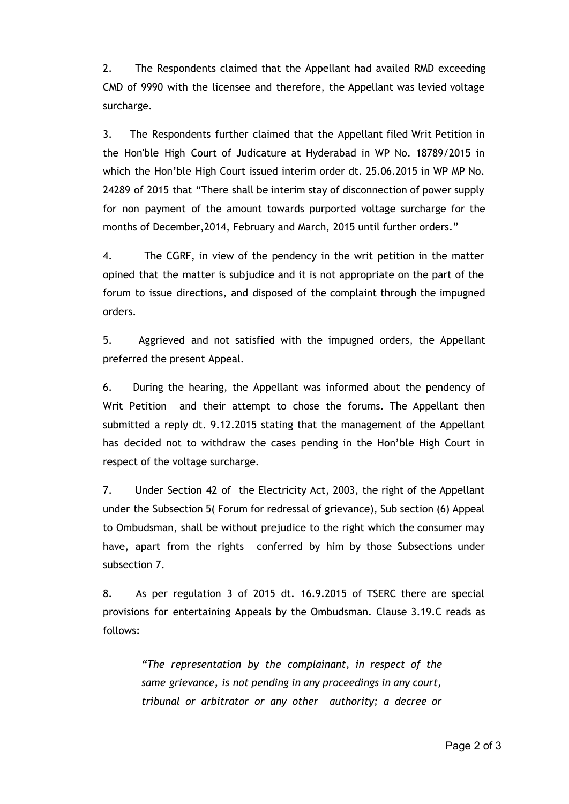2. The Respondents claimed that the Appellant had availed RMD exceeding CMD of 9990 with the licensee and therefore, the Appellant was levied voltage surcharge.

3. The Respondents further claimed that the Appellant filed Writ Petition in the Hon'ble High Court of Judicature at Hyderabad in WP No. 18789/2015 in which the Hon'ble High Court issued interim order dt. 25.06.2015 in WP MP No. 24289 of 2015 that "There shall be interim stay of disconnection of power supply for non payment of the amount towards purported voltage surcharge for the months of December,2014, February and March, 2015 until further orders."

4. The CGRF, in view of the pendency in the writ petition in the matter opined that the matter is subjudice and it is not appropriate on the part of the forum to issue directions, and disposed of the complaint through the impugned orders.

5. Aggrieved and not satisfied with the impugned orders, the Appellant preferred the present Appeal.

6. During the hearing, the Appellant was informed about the pendency of Writ Petition and their attempt to chose the forums. The Appellant then submitted a reply dt. 9.12.2015 stating that the management of the Appellant has decided not to withdraw the cases pending in the Hon'ble High Court in respect of the voltage surcharge.

7. Under Section 42 of the Electricity Act, 2003, the right of the Appellant under the Subsection 5( Forum for redressal of grievance), Sub section (6) Appeal to Ombudsman, shall be without prejudice to the right which the consumer may have, apart from the rights conferred by him by those Subsections under subsection 7.

8. As per regulation 3 of 2015 dt. 16.9.2015 of TSERC there are special provisions for entertaining Appeals by the Ombudsman. Clause 3.19.C reads as follows:

*"The representation by the complainant, in respect of the same grievance, is not pending in any proceedings in any court, tribunal or arbitrator or any other authority; a decree or*